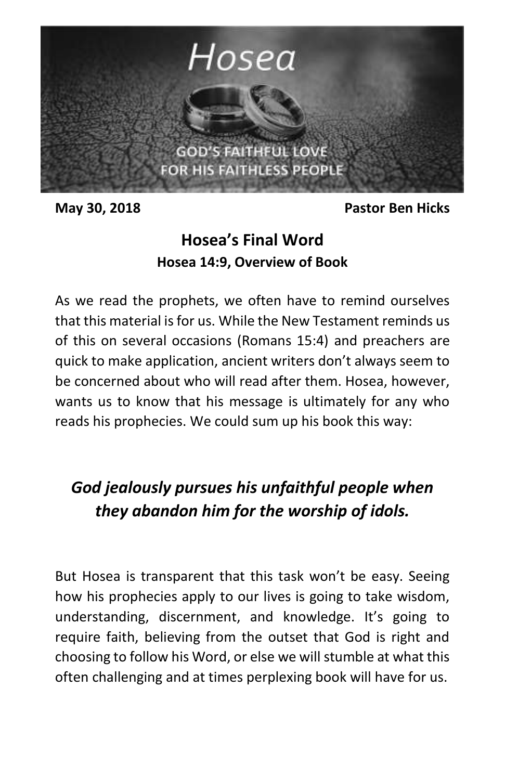

**May 30, 2018 Pastor Ben Hicks**

# **Hosea's Final Word Hosea 14:9, Overview of Book**

As we read the prophets, we often have to remind ourselves that this material is for us. While the New Testament reminds us of this on several occasions (Romans 15:4) and preachers are quick to make application, ancient writers don't always seem to be concerned about who will read after them. Hosea, however, wants us to know that his message is ultimately for any who reads his prophecies. We could sum up his book this way:

# *God jealously pursues his unfaithful people when they abandon him for the worship of idols.*

But Hosea is transparent that this task won't be easy. Seeing how his prophecies apply to our lives is going to take wisdom, understanding, discernment, and knowledge. It's going to require faith, believing from the outset that God is right and choosing to follow his Word, or else we will stumble at what this often challenging and at times perplexing book will have for us.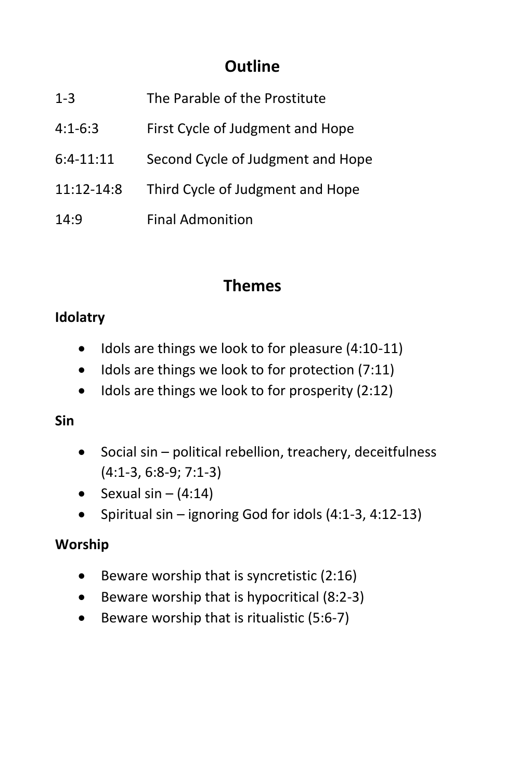# **Outline**

| $1 - 3$     | The Parable of the Prostitute     |
|-------------|-----------------------------------|
| $4:1-6:3$   | First Cycle of Judgment and Hope  |
| $6:4-11:11$ | Second Cycle of Judgment and Hope |
| 11:12-14:8  | Third Cycle of Judgment and Hope  |
| 14:9        | <b>Final Admonition</b>           |

## **Themes**

### **Idolatry**

- $\bullet$  Idols are things we look to for pleasure (4:10-11)
- $\bullet$  Idols are things we look to for protection (7:11)
- $\bullet$  Idols are things we look to for prosperity (2:12)

#### **Sin**

- Social sin political rebellion, treachery, deceitfulness (4:1-3, 6:8-9; 7:1-3)
- Sexual sin  $(4:14)$
- Spiritual sin ignoring God for idols  $(4:1-3, 4:12-13)$

#### **Worship**

- $\bullet$  Beware worship that is syncretistic (2:16)
- $\bullet$  Beware worship that is hypocritical (8:2-3)
- $\bullet$  Beware worship that is ritualistic (5:6-7)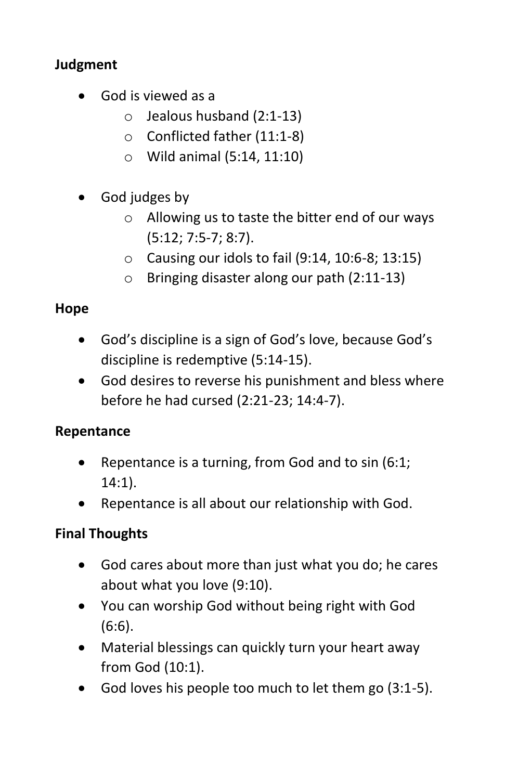### **Judgment**

- God is viewed as a
	- $\circ$  Jealous husband (2:1-13)
	- o Conflicted father (11:1-8)
	- o Wild animal (5:14, 11:10)
- God judges by
	- o Allowing us to taste the bitter end of our ways (5:12; 7:5-7; 8:7).
	- $\circ$  Causing our idols to fail (9:14, 10:6-8; 13:15)
	- o Bringing disaster along our path (2:11-13)

### **Hope**

- God's discipline is a sign of God's love, because God's discipline is redemptive (5:14-15).
- God desires to reverse his punishment and bless where before he had cursed (2:21-23; 14:4-7).

#### **Repentance**

- Repentance is a turning, from God and to  $sin(6:1;$ 14:1).
- Repentance is all about our relationship with God.

## **Final Thoughts**

- God cares about more than just what you do; he cares about what you love (9:10).
- You can worship God without being right with God (6:6).
- Material blessings can quickly turn your heart away from God (10:1).
- God loves his people too much to let them go (3:1-5).